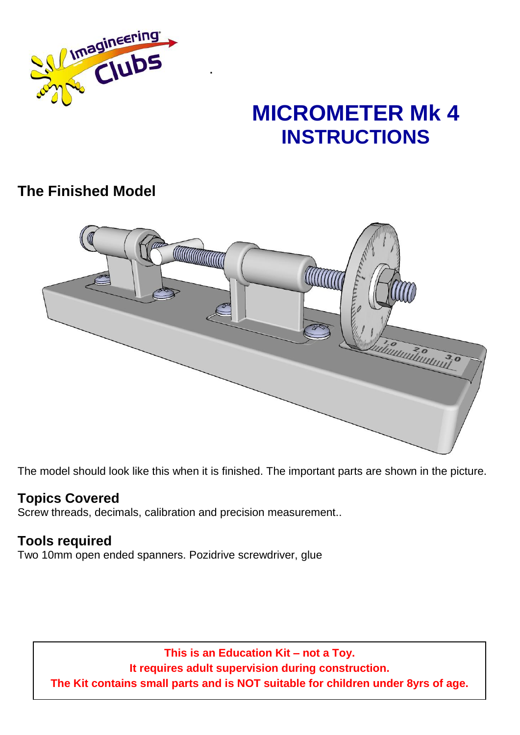

# **MICROMETER Mk 4 INSTRUCTIONS**

# **The Finished Model**



.

The model should look like this when it is finished. The important parts are shown in the picture.

## **Topics Covered**

Screw threads, decimals, calibration and precision measurement..

### **Tools required**

Two 10mm open ended spanners. Pozidrive screwdriver, glue

**This is an Education Kit – not a Toy. It requires adult supervision during construction. The Kit contains small parts and is NOT suitable for children under 8yrs of age.**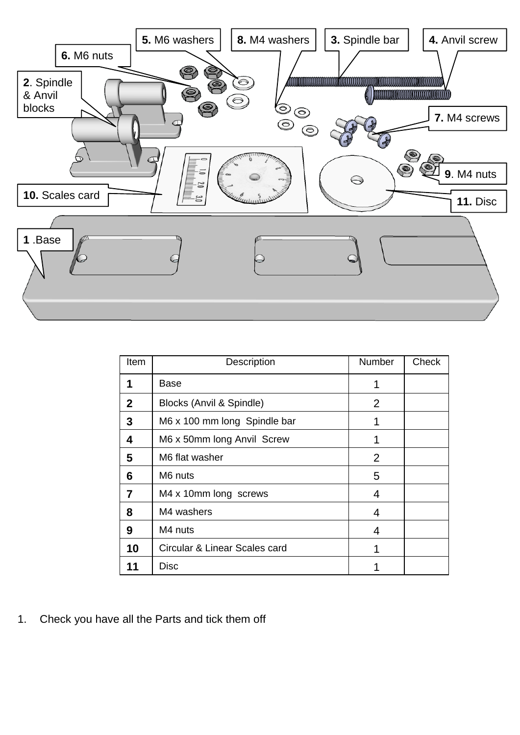

| Item         | Description                   | Number | Check |
|--------------|-------------------------------|--------|-------|
| 1            | Base                          | 1      |       |
| $\mathbf{2}$ | Blocks (Anvil & Spindle)      | 2      |       |
| 3            | M6 x 100 mm long Spindle bar  | 1      |       |
| 4            | M6 x 50mm long Anvil Screw    | 1      |       |
| 5            | M6 flat washer                | 2      |       |
| 6            | M6 nuts                       | 5      |       |
| 7            | M4 x 10mm long screws         | 4      |       |
| 8            | M4 washers                    | 4      |       |
| 9            | M4 nuts                       | 4      |       |
| 10           | Circular & Linear Scales card |        |       |
| 11           | Disc                          |        |       |

1. Check you have all the Parts and tick them off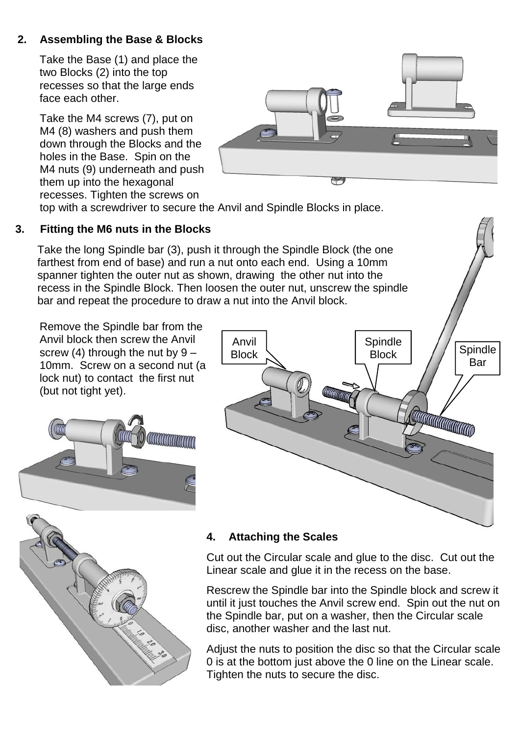#### **2. Assembling the Base & Blocks**

Take the Base (1) and place the two Blocks (2) into the top recesses so that the large ends face each other.

Take the M4 screws (7), put on M4 (8) washers and push them down through the Blocks and the holes in the Base. Spin on the M4 nuts (9) underneath and push them up into the hexagonal recesses. Tighten the screws on



top with a screwdriver to secure the Anvil and Spindle Blocks in place.

#### **3. Fitting the M6 nuts in the Blocks**

Take the long Spindle bar (3), push it through the Spindle Block (the one farthest from end of base) and run a nut onto each end. Using a 10mm spanner tighten the outer nut as shown, drawing the other nut into the recess in the Spindle Block. Then loosen the outer nut, unscrew the spindle bar and repeat the procedure to draw a nut into the Anvil block.

Remove the Spindle bar from the Anvil block then screw the Anvil screw  $(4)$  through the nut by  $9 -$ 10mm. Screw on a second nut (a lock nut) to contact the first nut (but not tight yet).





#### **4. Attaching the Scales**

Cut out the Circular scale and glue to the disc. Cut out the Linear scale and glue it in the recess on the base.

Rescrew the Spindle bar into the Spindle block and screw it until it just touches the Anvil screw end. Spin out the nut on the Spindle bar, put on a washer, then the Circular scale disc, another washer and the last nut.

Adjust the nuts to position the disc so that the Circular scale 0 is at the bottom just above the 0 line on the Linear scale. Tighten the nuts to secure the disc.